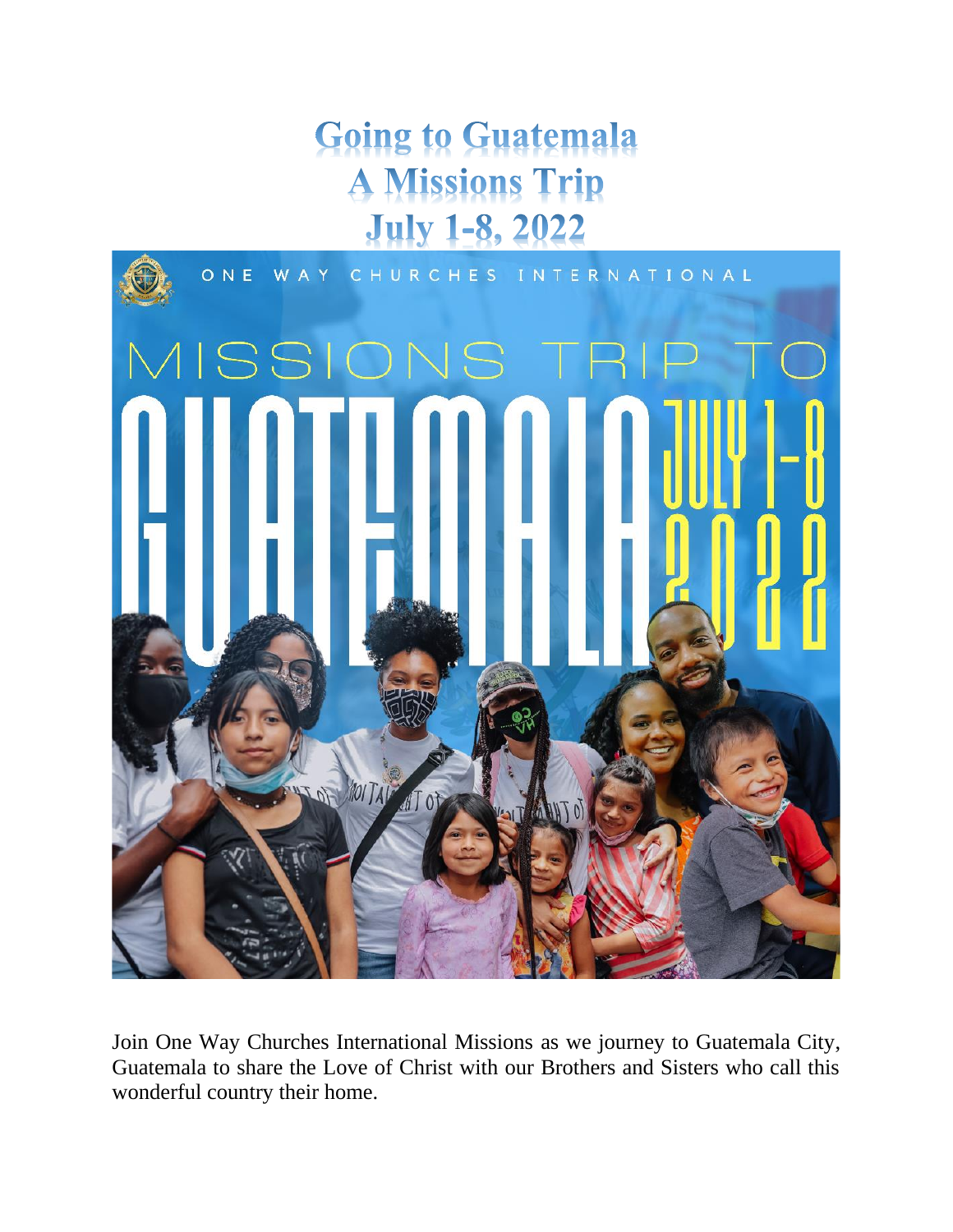# **Going to Guatemala A Missions Trip July 1-8, 2022**



Join One Way Churches International Missions as we journey to Guatemala City, Guatemala to share the Love of Christ with our Brothers and Sisters who call this wonderful country their home.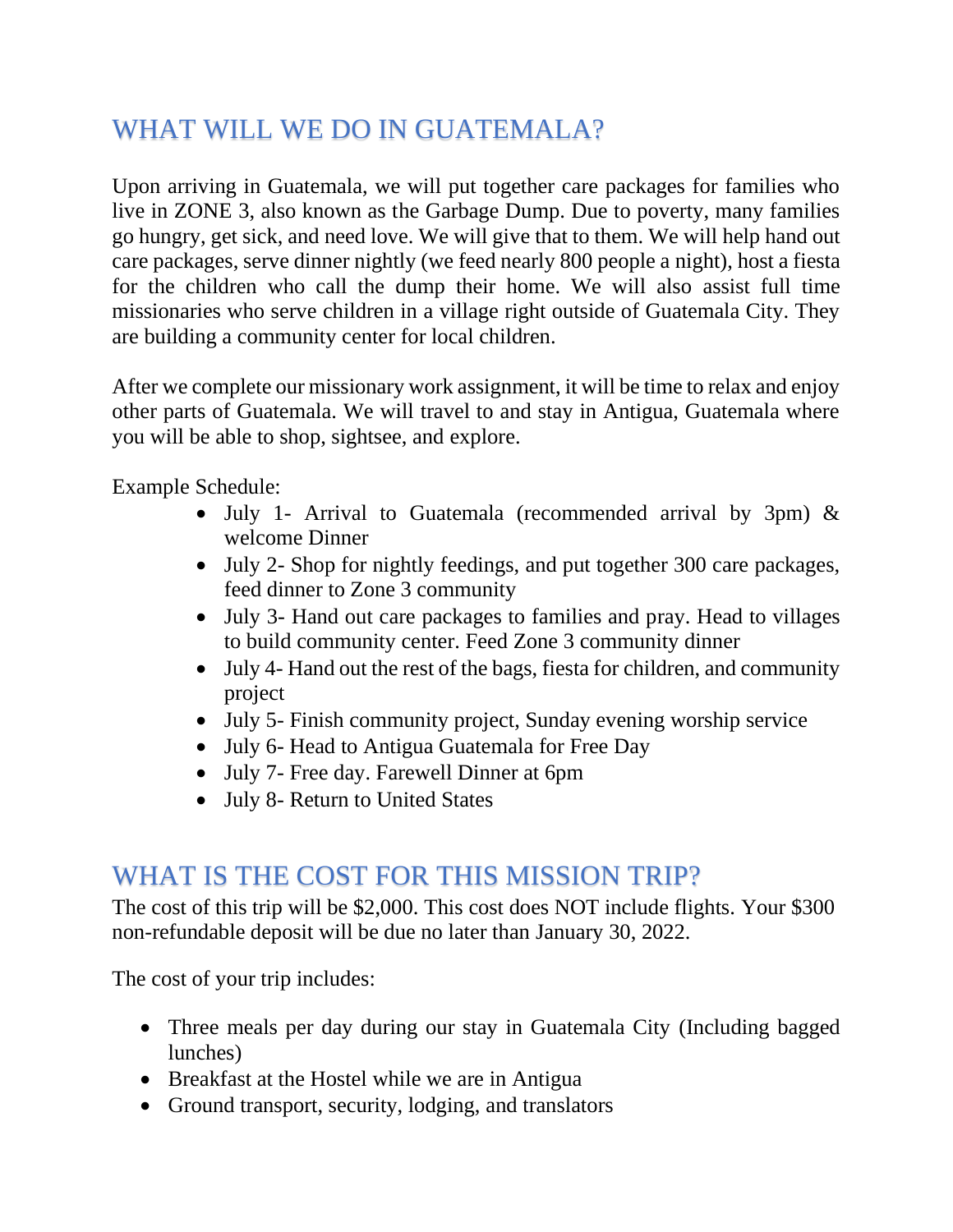## WHAT WILL WE DO IN GUATEMALA?

Upon arriving in Guatemala, we will put together care packages for families who live in ZONE 3, also known as the Garbage Dump. Due to poverty, many families go hungry, get sick, and need love. We will give that to them. We will help hand out care packages, serve dinner nightly (we feed nearly 800 people a night), host a fiesta for the children who call the dump their home. We will also assist full time missionaries who serve children in a village right outside of Guatemala City. They are building a community center for local children.

After we complete our missionary work assignment, it will be time to relax and enjoy other parts of Guatemala. We will travel to and stay in Antigua, Guatemala where you will be able to shop, sightsee, and explore.

Example Schedule:

- July 1- Arrival to Guatemala (recommended arrival by 3pm) & welcome Dinner
- July 2- Shop for nightly feedings, and put together 300 care packages, feed dinner to Zone 3 community
- July 3- Hand out care packages to families and pray. Head to villages to build community center. Feed Zone 3 community dinner
- July 4- Hand out the rest of the bags, fiesta for children, and community project
- July 5- Finish community project, Sunday evening worship service
- July 6- Head to Antigua Guatemala for Free Day
- July 7- Free day. Farewell Dinner at 6pm
- July 8- Return to United States

#### WHAT IS THE COST FOR THIS MISSION TRIP?

The cost of this trip will be \$2,000. This cost does NOT include flights. Your \$300 non-refundable deposit will be due no later than January 30, 2022.

The cost of your trip includes:

- Three meals per day during our stay in Guatemala City (Including bagged lunches)
- Breakfast at the Hostel while we are in Antigua
- Ground transport, security, lodging, and translators